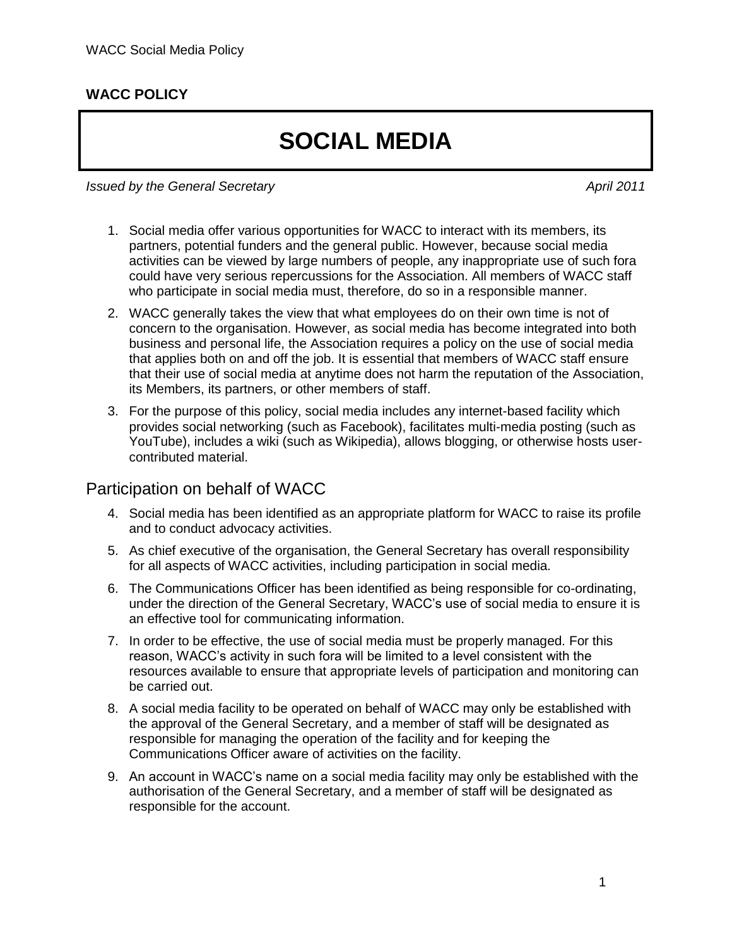## **WACC POLICY**

## **SOCIAL MEDIA**

*Issued by the General Secretary April 2011*

- 1. Social media offer various opportunities for WACC to interact with its members, its partners, potential funders and the general public. However, because social media activities can be viewed by large numbers of people, any inappropriate use of such fora could have very serious repercussions for the Association. All members of WACC staff who participate in social media must, therefore, do so in a responsible manner.
- 2. WACC generally takes the view that what employees do on their own time is not of concern to the organisation. However, as social media has become integrated into both business and personal life, the Association requires a policy on the use of social media that applies both on and off the job. It is essential that members of WACC staff ensure that their use of social media at anytime does not harm the reputation of the Association, its Members, its partners, or other members of staff.
- 3. For the purpose of this policy, social media includes any internet-based facility which provides social networking (such as Facebook), facilitates multi-media posting (such as YouTube), includes a wiki (such as Wikipedia), allows blogging, or otherwise hosts usercontributed material.

## Participation on behalf of WACC

- 4. Social media has been identified as an appropriate platform for WACC to raise its profile and to conduct advocacy activities.
- 5. As chief executive of the organisation, the General Secretary has overall responsibility for all aspects of WACC activities, including participation in social media.
- 6. The Communications Officer has been identified as being responsible for co-ordinating, under the direction of the General Secretary, WACC's use of social media to ensure it is an effective tool for communicating information.
- 7. In order to be effective, the use of social media must be properly managed. For this reason, WACC's activity in such fora will be limited to a level consistent with the resources available to ensure that appropriate levels of participation and monitoring can be carried out.
- 8. A social media facility to be operated on behalf of WACC may only be established with the approval of the General Secretary, and a member of staff will be designated as responsible for managing the operation of the facility and for keeping the Communications Officer aware of activities on the facility.
- 9. An account in WACC's name on a social media facility may only be established with the authorisation of the General Secretary, and a member of staff will be designated as responsible for the account.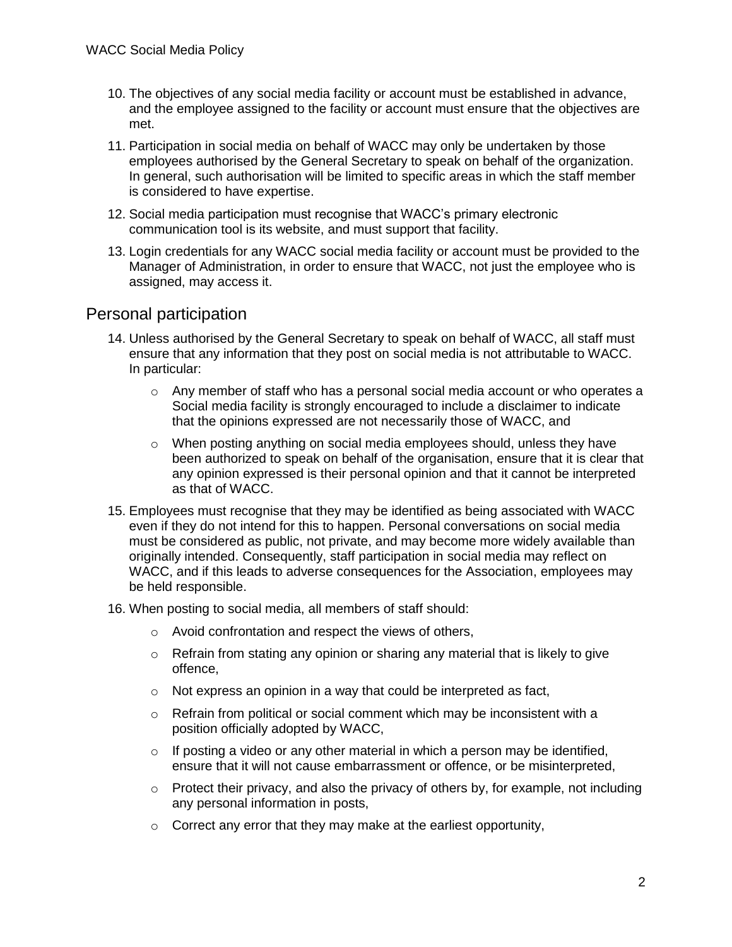- 10. The objectives of any social media facility or account must be established in advance, and the employee assigned to the facility or account must ensure that the objectives are met.
- 11. Participation in social media on behalf of WACC may only be undertaken by those employees authorised by the General Secretary to speak on behalf of the organization. In general, such authorisation will be limited to specific areas in which the staff member is considered to have expertise.
- 12. Social media participation must recognise that WACC's primary electronic communication tool is its website, and must support that facility.
- 13. Login credentials for any WACC social media facility or account must be provided to the Manager of Administration, in order to ensure that WACC, not just the employee who is assigned, may access it.

## Personal participation

- 14. Unless authorised by the General Secretary to speak on behalf of WACC, all staff must ensure that any information that they post on social media is not attributable to WACC. In particular:
	- $\circ$  Any member of staff who has a personal social media account or who operates a Social media facility is strongly encouraged to include a disclaimer to indicate that the opinions expressed are not necessarily those of WACC, and
	- o When posting anything on social media employees should, unless they have been authorized to speak on behalf of the organisation, ensure that it is clear that any opinion expressed is their personal opinion and that it cannot be interpreted as that of WACC.
- 15. Employees must recognise that they may be identified as being associated with WACC even if they do not intend for this to happen. Personal conversations on social media must be considered as public, not private, and may become more widely available than originally intended. Consequently, staff participation in social media may reflect on WACC, and if this leads to adverse consequences for the Association, employees may be held responsible.
- 16. When posting to social media, all members of staff should:
	- o Avoid confrontation and respect the views of others,
	- $\circ$  Refrain from stating any opinion or sharing any material that is likely to give offence,
	- $\circ$  Not express an opinion in a way that could be interpreted as fact,
	- $\circ$  Refrain from political or social comment which may be inconsistent with a position officially adopted by WACC,
	- $\circ$  If posting a video or any other material in which a person may be identified, ensure that it will not cause embarrassment or offence, or be misinterpreted,
	- $\circ$  Protect their privacy, and also the privacy of others by, for example, not including any personal information in posts,
	- $\circ$  Correct any error that they may make at the earliest opportunity,